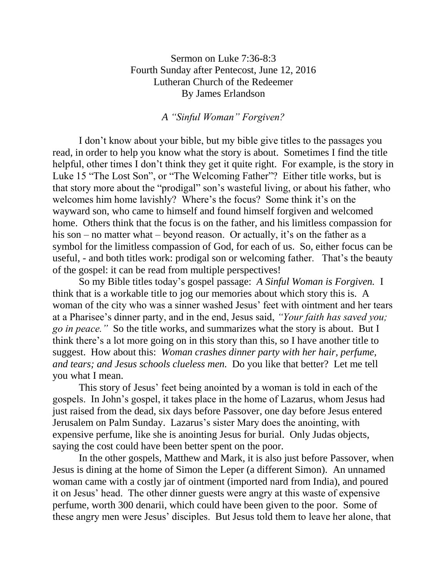Sermon on Luke 7:36-8:3 Fourth Sunday after Pentecost, June 12, 2016 Lutheran Church of the Redeemer By James Erlandson

*A "Sinful Woman" Forgiven?*

I don't know about your bible, but my bible give titles to the passages you read, in order to help you know what the story is about. Sometimes I find the title helpful, other times I don't think they get it quite right. For example, is the story in Luke 15 "The Lost Son", or "The Welcoming Father"? Either title works, but is that story more about the "prodigal" son's wasteful living, or about his father, who welcomes him home lavishly? Where's the focus? Some think it's on the wayward son, who came to himself and found himself forgiven and welcomed home. Others think that the focus is on the father, and his limitless compassion for his son – no matter what – beyond reason. Or actually, it's on the father as a symbol for the limitless compassion of God, for each of us. So, either focus can be useful, - and both titles work: prodigal son or welcoming father. That's the beauty of the gospel: it can be read from multiple perspectives!

So my Bible titles today's gospel passage: *A Sinful Woman is Forgiven.* I think that is a workable title to jog our memories about which story this is. A woman of the city who was a sinner washed Jesus' feet with ointment and her tears at a Pharisee's dinner party, and in the end, Jesus said, *"Your faith has saved you; go in peace."* So the title works, and summarizes what the story is about. But I think there's a lot more going on in this story than this, so I have another title to suggest. How about this: *Woman crashes dinner party with her hair, perfume, and tears; and Jesus schools clueless men.* Do you like that better? Let me tell you what I mean.

This story of Jesus' feet being anointed by a woman is told in each of the gospels. In John's gospel, it takes place in the home of Lazarus, whom Jesus had just raised from the dead, six days before Passover, one day before Jesus entered Jerusalem on Palm Sunday. Lazarus's sister Mary does the anointing, with expensive perfume, like she is anointing Jesus for burial. Only Judas objects, saying the cost could have been better spent on the poor.

In the other gospels, Matthew and Mark, it is also just before Passover, when Jesus is dining at the home of Simon the Leper (a different Simon). An unnamed woman came with a costly jar of ointment (imported nard from India), and poured it on Jesus' head. The other dinner guests were angry at this waste of expensive perfume, worth 300 denarii, which could have been given to the poor. Some of these angry men were Jesus' disciples. But Jesus told them to leave her alone, that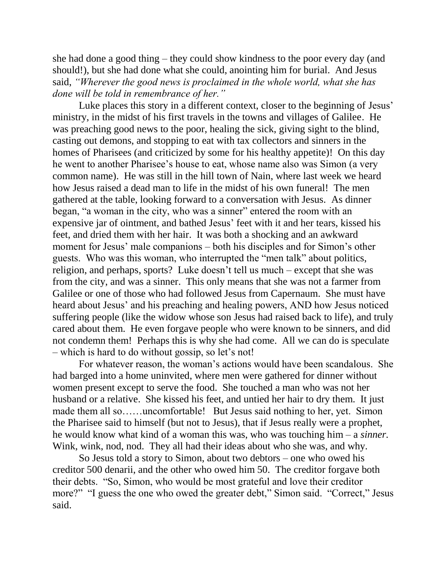she had done a good thing – they could show kindness to the poor every day (and should!), but she had done what she could, anointing him for burial. And Jesus said, *"Wherever the good news is proclaimed in the whole world, what she has done will be told in remembrance of her."*

Luke places this story in a different context, closer to the beginning of Jesus' ministry, in the midst of his first travels in the towns and villages of Galilee. He was preaching good news to the poor, healing the sick, giving sight to the blind, casting out demons, and stopping to eat with tax collectors and sinners in the homes of Pharisees (and criticized by some for his healthy appetite)! On this day he went to another Pharisee's house to eat, whose name also was Simon (a very common name). He was still in the hill town of Nain, where last week we heard how Jesus raised a dead man to life in the midst of his own funeral! The men gathered at the table, looking forward to a conversation with Jesus. As dinner began, "a woman in the city, who was a sinner" entered the room with an expensive jar of ointment, and bathed Jesus' feet with it and her tears, kissed his feet, and dried them with her hair. It was both a shocking and an awkward moment for Jesus' male companions – both his disciples and for Simon's other guests. Who was this woman, who interrupted the "men talk" about politics, religion, and perhaps, sports? Luke doesn't tell us much – except that she was from the city, and was a sinner. This only means that she was not a farmer from Galilee or one of those who had followed Jesus from Capernaum. She must have heard about Jesus' and his preaching and healing powers, AND how Jesus noticed suffering people (like the widow whose son Jesus had raised back to life), and truly cared about them. He even forgave people who were known to be sinners, and did not condemn them! Perhaps this is why she had come. All we can do is speculate – which is hard to do without gossip, so let's not!

For whatever reason, the woman's actions would have been scandalous. She had barged into a home uninvited, where men were gathered for dinner without women present except to serve the food. She touched a man who was not her husband or a relative. She kissed his feet, and untied her hair to dry them. It just made them all so……uncomfortable! But Jesus said nothing to her, yet. Simon the Pharisee said to himself (but not to Jesus), that if Jesus really were a prophet, he would know what kind of a woman this was, who was touching him – a *sinner.* Wink, wink, nod, nod. They all had their ideas about who she was, and why.

So Jesus told a story to Simon, about two debtors – one who owed his creditor 500 denarii, and the other who owed him 50. The creditor forgave both their debts. "So, Simon, who would be most grateful and love their creditor more?" "I guess the one who owed the greater debt," Simon said. "Correct," Jesus said.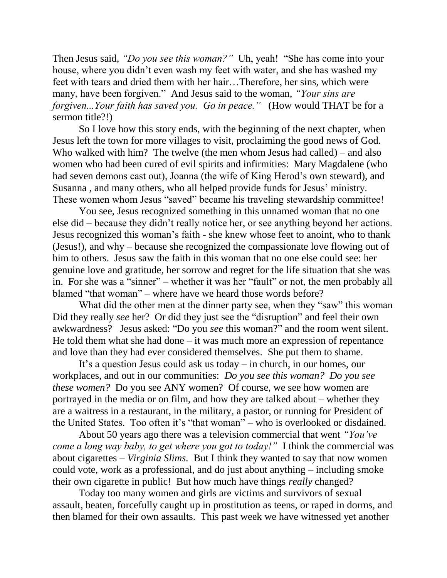Then Jesus said, *"Do you see this woman?"* Uh, yeah! "She has come into your house, where you didn't even wash my feet with water, and she has washed my feet with tears and dried them with her hair…Therefore, her sins, which were many, have been forgiven." And Jesus said to the woman, *"Your sins are forgiven...Your faith has saved you. Go in peace."* (How would THAT be for a sermon title?!)

So I love how this story ends, with the beginning of the next chapter, when Jesus left the town for more villages to visit, proclaiming the good news of God. Who walked with him? The twelve (the men whom Jesus had called) – and also women who had been cured of evil spirits and infirmities: Mary Magdalene (who had seven demons cast out), Joanna (the wife of King Herod's own steward), and Susanna , and many others, who all helped provide funds for Jesus' ministry. These women whom Jesus "saved" became his traveling stewardship committee!

You see, Jesus recognized something in this unnamed woman that no one else did – because they didn't really notice her, or see anything beyond her actions. Jesus recognized this woman's faith - she knew whose feet to anoint, who to thank (Jesus!), and why – because she recognized the compassionate love flowing out of him to others. Jesus saw the faith in this woman that no one else could see: her genuine love and gratitude, her sorrow and regret for the life situation that she was in. For she was a "sinner" – whether it was her "fault" or not, the men probably all blamed "that woman" – where have we heard those words before?

What did the other men at the dinner party see, when they "saw" this woman Did they really *see* her? Or did they just see the "disruption" and feel their own awkwardness? Jesus asked: "Do you *see* this woman?" and the room went silent. He told them what she had done  $-$  it was much more an expression of repentance and love than they had ever considered themselves. She put them to shame.

It's a question Jesus could ask us today – in church, in our homes, our workplaces, and out in our communities: *Do you see this woman? Do you see these women?* Do you see ANY women? Of course, we see how women are portrayed in the media or on film, and how they are talked about – whether they are a waitress in a restaurant, in the military, a pastor, or running for President of the United States. Too often it's "that woman" – who is overlooked or disdained.

About 50 years ago there was a television commercial that went *"You've come a long way baby, to get where you got to today!"* I think the commercial was about cigarettes – *Virginia Slims.* But I think they wanted to say that now women could vote, work as a professional, and do just about anything – including smoke their own cigarette in public! But how much have things *really* changed?

Today too many women and girls are victims and survivors of sexual assault, beaten, forcefully caught up in prostitution as teens, or raped in dorms, and then blamed for their own assaults. This past week we have witnessed yet another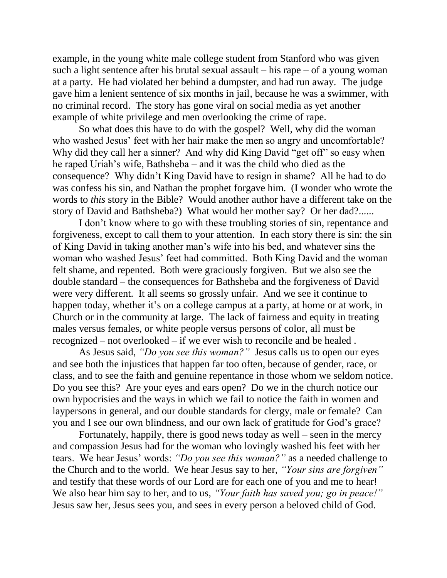example, in the young white male college student from Stanford who was given such a light sentence after his brutal sexual assault – his rape – of a young woman at a party. He had violated her behind a dumpster, and had run away. The judge gave him a lenient sentence of six months in jail, because he was a swimmer, with no criminal record. The story has gone viral on social media as yet another example of white privilege and men overlooking the crime of rape.

So what does this have to do with the gospel? Well, why did the woman who washed Jesus' feet with her hair make the men so angry and uncomfortable? Why did they call her a sinner? And why did King David "get off" so easy when he raped Uriah's wife, Bathsheba – and it was the child who died as the consequence? Why didn't King David have to resign in shame? All he had to do was confess his sin, and Nathan the prophet forgave him. (I wonder who wrote the words to *this* story in the Bible? Would another author have a different take on the story of David and Bathsheba?) What would her mother say? Or her dad?......

I don't know where to go with these troubling stories of sin, repentance and forgiveness, except to call them to your attention. In each story there is sin: the sin of King David in taking another man's wife into his bed, and whatever sins the woman who washed Jesus' feet had committed. Both King David and the woman felt shame, and repented. Both were graciously forgiven. But we also see the double standard – the consequences for Bathsheba and the forgiveness of David were very different. It all seems so grossly unfair. And we see it continue to happen today, whether it's on a college campus at a party, at home or at work, in Church or in the community at large. The lack of fairness and equity in treating males versus females, or white people versus persons of color, all must be recognized – not overlooked – if we ever wish to reconcile and be healed .

As Jesus said, *"Do you see this woman?"* Jesus calls us to open our eyes and see both the injustices that happen far too often, because of gender, race, or class, and to see the faith and genuine repentance in those whom we seldom notice. Do you see this? Are your eyes and ears open? Do we in the church notice our own hypocrisies and the ways in which we fail to notice the faith in women and laypersons in general, and our double standards for clergy, male or female? Can you and I see our own blindness, and our own lack of gratitude for God's grace?

Fortunately, happily, there is good news today as well – seen in the mercy and compassion Jesus had for the woman who lovingly washed his feet with her tears. We hear Jesus' words: *"Do you see this woman?"* as a needed challenge to the Church and to the world. We hear Jesus say to her, *"Your sins are forgiven"* and testify that these words of our Lord are for each one of you and me to hear! We also hear him say to her, and to us, *"Your faith has saved you; go in peace!"* Jesus saw her, Jesus sees you, and sees in every person a beloved child of God.